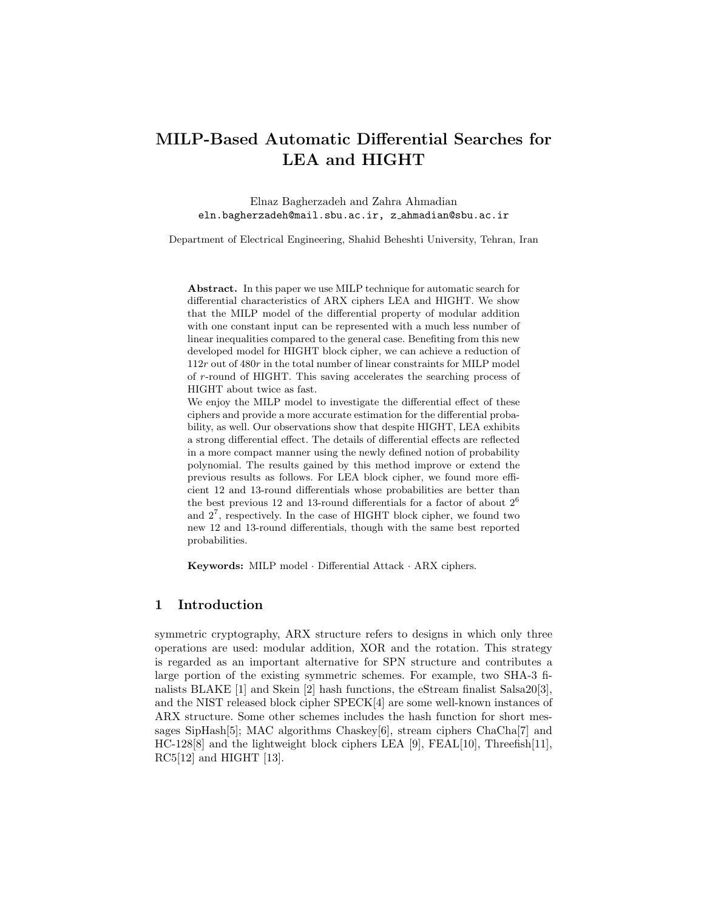# MILP-Based Automatic Differential Searches for LEA and HIGHT

Elnaz Bagherzadeh and Zahra Ahmadian eln.bagherzadeh@mail.sbu.ac.ir, z ahmadian@sbu.ac.ir

Department of Electrical Engineering, Shahid Beheshti University, Tehran, Iran

Abstract. In this paper we use MILP technique for automatic search for differential characteristics of ARX ciphers LEA and HIGHT. We show that the MILP model of the differential property of modular addition with one constant input can be represented with a much less number of linear inequalities compared to the general case. Benefiting from this new developed model for HIGHT block cipher, we can achieve a reduction of 112r out of 480r in the total number of linear constraints for MILP model of r-round of HIGHT. This saving accelerates the searching process of HIGHT about twice as fast.

We enjoy the MILP model to investigate the differential effect of these ciphers and provide a more accurate estimation for the differential probability, as well. Our observations show that despite HIGHT, LEA exhibits a strong differential effect. The details of differential effects are reflected in a more compact manner using the newly defined notion of probability polynomial. The results gained by this method improve or extend the previous results as follows. For LEA block cipher, we found more efficient 12 and 13-round differentials whose probabilities are better than the best previous 12 and 13-round differentials for a factor of about  $2<sup>6</sup>$ and  $2^7$ , respectively. In the case of HIGHT block cipher, we found two new 12 and 13-round differentials, though with the same best reported probabilities.

Keywords: MILP model · Differential Attack · ARX ciphers.

## 1 Introduction

symmetric cryptography, ARX structure refers to designs in which only three operations are used: modular addition, XOR and the rotation. This strategy is regarded as an important alternative for SPN structure and contributes a large portion of the existing symmetric schemes. For example, two SHA-3 finalists BLAKE [1] and Skein [2] hash functions, the eStream finalist Salsa20[3], and the NIST released block cipher SPECK[4] are some well-known instances of ARX structure. Some other schemes includes the hash function for short messages SipHash[5]; MAC algorithms Chaskey[6], stream ciphers ChaCha[7] and HC-128[8] and the lightweight block ciphers LEA [9], FEAL[10], Threefish[11], RC5[12] and HIGHT [13].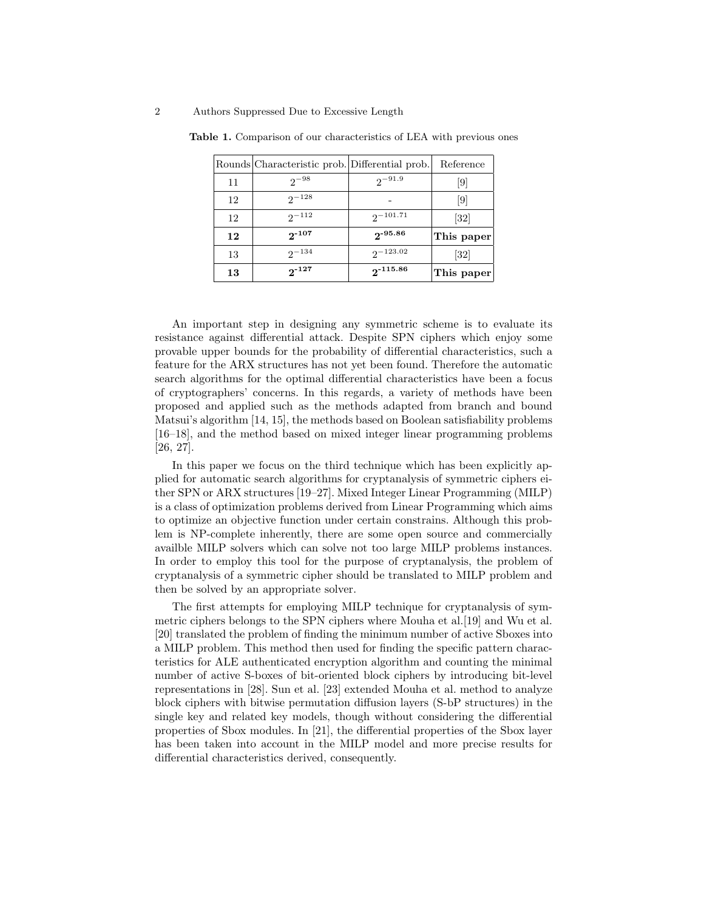|    | Rounds Characteristic prob. Differential prob. |               | Reference         |
|----|------------------------------------------------|---------------|-------------------|
| 11 | $2^{-98}$                                      | $2^{-91.9}$   | 9                 |
| 12 | $2^{-128}$                                     |               | $\left[9\right]$  |
| 12 | $2^{-112}$                                     | $2^{-101.71}$ | $\left[32\right]$ |
| 12 | $2^{-107}$                                     | $2 - 95.86$   | This paper        |
| 13 | $2^{-134}$                                     | $2^{-123.02}$ | $\left[32\right]$ |
| 13 | $2^{-127}$                                     | $2 - 115.86$  | This paper        |

Table 1. Comparison of our characteristics of LEA with previous ones

An important step in designing any symmetric scheme is to evaluate its resistance against differential attack. Despite SPN ciphers which enjoy some provable upper bounds for the probability of differential characteristics, such a feature for the ARX structures has not yet been found. Therefore the automatic search algorithms for the optimal differential characteristics have been a focus of cryptographers' concerns. In this regards, a variety of methods have been proposed and applied such as the methods adapted from branch and bound Matsui's algorithm [14, 15], the methods based on Boolean satisfiability problems [16–18], and the method based on mixed integer linear programming problems [26, 27].

In this paper we focus on the third technique which has been explicitly applied for automatic search algorithms for cryptanalysis of symmetric ciphers either SPN or ARX structures [19–27]. Mixed Integer Linear Programming (MILP) is a class of optimization problems derived from Linear Programming which aims to optimize an objective function under certain constrains. Although this problem is NP-complete inherently, there are some open source and commercially availble MILP solvers which can solve not too large MILP problems instances. In order to employ this tool for the purpose of cryptanalysis, the problem of cryptanalysis of a symmetric cipher should be translated to MILP problem and then be solved by an appropriate solver.

The first attempts for employing MILP technique for cryptanalysis of symmetric ciphers belongs to the SPN ciphers where Mouha et al. [19] and Wu et al. [20] translated the problem of finding the minimum number of active Sboxes into a MILP problem. This method then used for finding the specific pattern characteristics for ALE authenticated encryption algorithm and counting the minimal number of active S-boxes of bit-oriented block ciphers by introducing bit-level representations in [28]. Sun et al. [23] extended Mouha et al. method to analyze block ciphers with bitwise permutation diffusion layers (S-bP structures) in the single key and related key models, though without considering the differential properties of Sbox modules. In [21], the differential properties of the Sbox layer has been taken into account in the MILP model and more precise results for differential characteristics derived, consequently.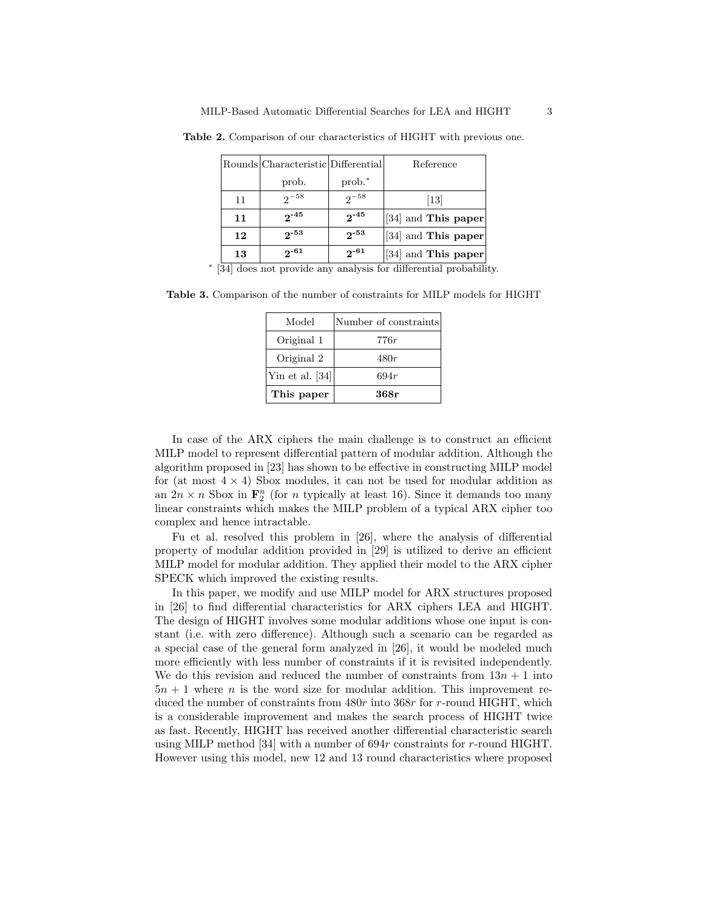|    | Rounds Characteristic Differential |           | Reference           |
|----|------------------------------------|-----------|---------------------|
|    | prob.                              | $prob.*$  |                     |
| 11 | $2^{-58}$                          | $2^{-58}$ | $\left[13\right]$   |
| 11 | $2^{-45}$                          | $2^{-45}$ | [34] and This paper |
| 12 | $2 - 53$                           | $2^{-53}$ | [34] and This paper |
| 13 | $2^{-61}$                          | $2^{-61}$ | [34] and This paper |

Table 2. Comparison of our characteristics of HIGHT with previous one.

∗ [34] does not provide any analysis for differential probability.

Table 3. Comparison of the number of constraints for MILP models for HIGHT

| Model           | Number of constraints |
|-----------------|-----------------------|
| Original 1      | 776r                  |
| Original 2      | 480r                  |
| Yin et al. [34] | 694r                  |
| This paper      | 368r                  |

In case of the ARX ciphers the main challenge is to construct an efficient MILP model to represent differential pattern of modular addition. Although the algorithm proposed in [23] has shown to be effective in constructing MILP model for (at most  $4 \times 4$ ) Sbox modules, it can not be used for modular addition as an  $2n \times n$  Sbox in  $\mathbf{F}_2^n$  (for *n* typically at least 16). Since it demands too many linear constraints which makes the MILP problem of a typical ARX cipher too complex and hence intractable.

Fu et al. resolved this problem in [26], where the analysis of differential property of modular addition provided in [29] is utilized to derive an efficient MILP model for modular addition. They applied their model to the ARX cipher SPECK which improved the existing results.

In this paper, we modify and use MILP model for ARX structures proposed in [26] to find differential characteristics for ARX ciphers LEA and HIGHT. The design of HIGHT involves some modular additions whose one input is constant (i.e. with zero difference). Although such a scenario can be regarded as a special case of the general form analyzed in [26], it would be modeled much more efficiently with less number of constraints if it is revisited independently. We do this revision and reduced the number of constraints from  $13n + 1$  into  $5n + 1$  where *n* is the word size for modular addition. This improvement reduced the number of constraints from  $480r$  into  $368r$  for r-round HIGHT, which is a considerable improvement and makes the search process of HIGHT twice as fast. Recently, HIGHT has received another differential characteristic search using MILP method [34] with a number of 694r constraints for r-round HIGHT. However using this model, new 12 and 13 round characteristics where proposed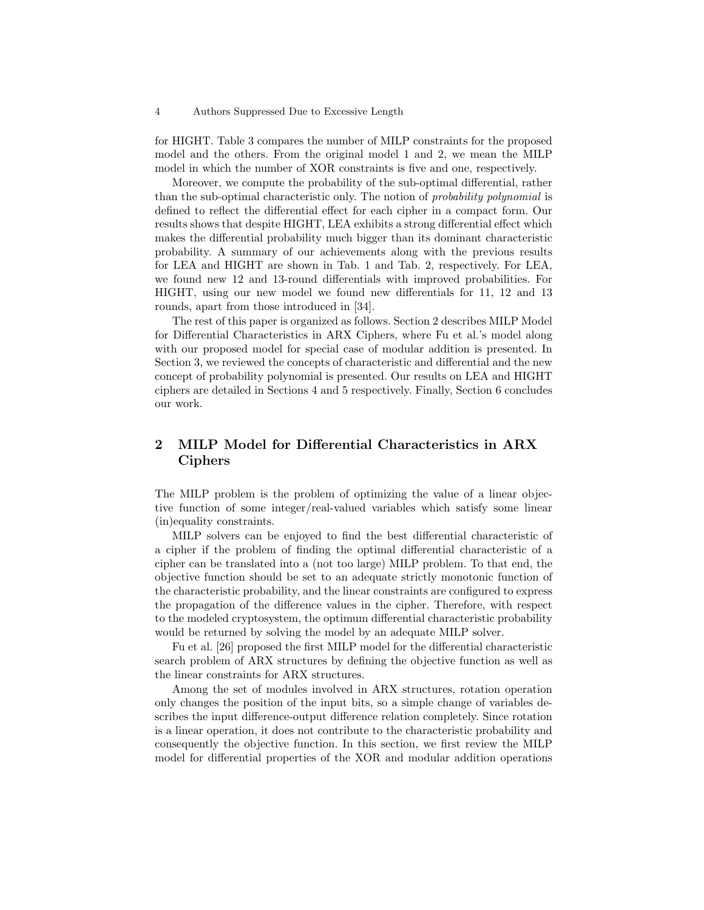for HIGHT. Table 3 compares the number of MILP constraints for the proposed model and the others. From the original model 1 and 2, we mean the MILP model in which the number of XOR constraints is five and one, respectively.

Moreover, we compute the probability of the sub-optimal differential, rather than the sub-optimal characteristic only. The notion of probability polynomial is defined to reflect the differential effect for each cipher in a compact form. Our results shows that despite HIGHT, LEA exhibits a strong differential effect which makes the differential probability much bigger than its dominant characteristic probability. A summary of our achievements along with the previous results for LEA and HIGHT are shown in Tab. 1 and Tab. 2, respectively. For LEA, we found new 12 and 13-round differentials with improved probabilities. For HIGHT, using our new model we found new differentials for 11, 12 and 13 rounds, apart from those introduced in [34].

The rest of this paper is organized as follows. Section 2 describes MILP Model for Differential Characteristics in ARX Ciphers, where Fu et al.'s model along with our proposed model for special case of modular addition is presented. In Section 3, we reviewed the concepts of characteristic and differential and the new concept of probability polynomial is presented. Our results on LEA and HIGHT ciphers are detailed in Sections 4 and 5 respectively. Finally, Section 6 concludes our work.

# 2 MILP Model for Differential Characteristics in ARX Ciphers

The MILP problem is the problem of optimizing the value of a linear objective function of some integer/real-valued variables which satisfy some linear (in)equality constraints.

MILP solvers can be enjoyed to find the best differential characteristic of a cipher if the problem of finding the optimal differential characteristic of a cipher can be translated into a (not too large) MILP problem. To that end, the objective function should be set to an adequate strictly monotonic function of the characteristic probability, and the linear constraints are configured to express the propagation of the difference values in the cipher. Therefore, with respect to the modeled cryptosystem, the optimum differential characteristic probability would be returned by solving the model by an adequate MILP solver.

Fu et al. [26] proposed the first MILP model for the differential characteristic search problem of ARX structures by defining the objective function as well as the linear constraints for ARX structures.

Among the set of modules involved in ARX structures, rotation operation only changes the position of the input bits, so a simple change of variables describes the input difference-output difference relation completely. Since rotation is a linear operation, it does not contribute to the characteristic probability and consequently the objective function. In this section, we first review the MILP model for differential properties of the XOR and modular addition operations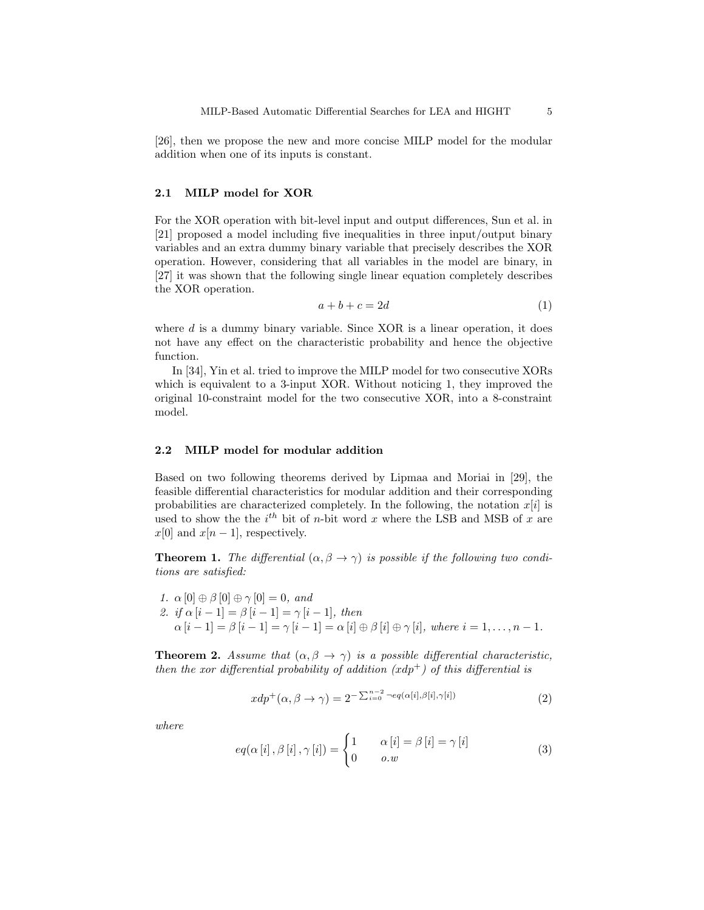[26], then we propose the new and more concise MILP model for the modular addition when one of its inputs is constant.

#### 2.1 MILP model for XOR

For the XOR operation with bit-level input and output differences, Sun et al. in [21] proposed a model including five inequalities in three input/output binary variables and an extra dummy binary variable that precisely describes the XOR operation. However, considering that all variables in the model are binary, in [27] it was shown that the following single linear equation completely describes the XOR operation.

$$
a + b + c = 2d \tag{1}
$$

where  $d$  is a dummy binary variable. Since XOR is a linear operation, it does not have any effect on the characteristic probability and hence the objective function.

In [34], Yin et al. tried to improve the MILP model for two consecutive XORs which is equivalent to a 3-input XOR. Without noticing 1, they improved the original 10-constraint model for the two consecutive XOR, into a 8-constraint model.

### 2.2 MILP model for modular addition

Based on two following theorems derived by Lipmaa and Moriai in [29], the feasible differential characteristics for modular addition and their corresponding probabilities are characterized completely. In the following, the notation  $x[i]$  is used to show the the  $i^{th}$  bit of *n*-bit word x where the LSB and MSB of x are  $x[0]$  and  $x[n-1]$ , respectively.

**Theorem 1.** The differential  $(\alpha, \beta \rightarrow \gamma)$  is possible if the following two conditions are satisfied:

1.  $\alpha$  [0]  $\oplus$   $\beta$  [0]  $\oplus$   $\gamma$  [0] = 0, and 2. if  $\alpha[i-1] = \beta[i-1] = \gamma[i-1]$ , then  $\alpha[i-1] = \beta[i-1] = \gamma[i-1] = \alpha[i] \oplus \beta[i] \oplus \gamma[i],$  where  $i = 1, \ldots, n-1$ .

**Theorem 2.** Assume that  $(\alpha, \beta \rightarrow \gamma)$  is a possible differential characteristic, then the xor differential probability of addition  $(xdp<sup>+</sup>)$  of this differential is

$$
xdp^{+}(\alpha,\beta \to \gamma) = 2^{-\sum_{i=0}^{n-2} -eq(\alpha[i],\beta[i],\gamma[i])}
$$
\n(2)

where

$$
eq(\alpha[i], \beta[i], \gamma[i]) = \begin{cases} 1 & \alpha[i] = \beta[i] = \gamma[i] \\ 0 & o.w \end{cases}
$$
 (3)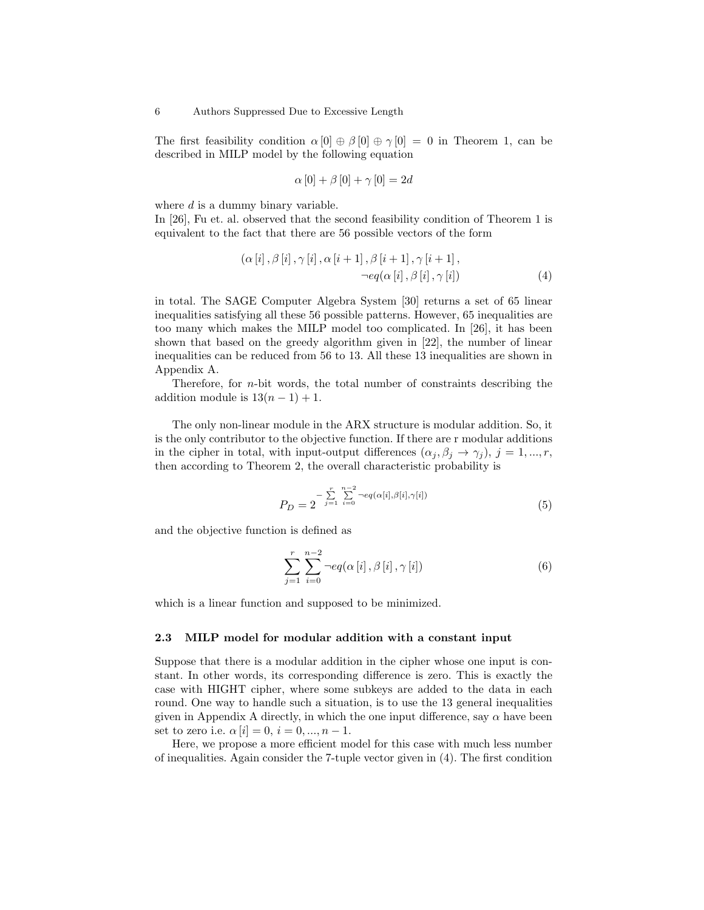The first feasibility condition  $\alpha[0] \oplus \beta[0] \oplus \gamma[0] = 0$  in Theorem 1, can be described in MILP model by the following equation

$$
\alpha [0] + \beta [0] + \gamma [0] = 2d
$$

where d is a dummy binary variable.

In [26], Fu et. al. observed that the second feasibility condition of Theorem 1 is equivalent to the fact that there are 56 possible vectors of the form

$$
(\alpha[i], \beta[i], \gamma[i], \alpha[i+1], \beta[i+1], \gamma[i+1],
$$
  

$$
\neg eq(\alpha[i], \beta[i], \gamma[i])
$$
 (4)

in total. The SAGE Computer Algebra System [30] returns a set of 65 linear inequalities satisfying all these 56 possible patterns. However, 65 inequalities are too many which makes the MILP model too complicated. In [26], it has been shown that based on the greedy algorithm given in [22], the number of linear inequalities can be reduced from 56 to 13. All these 13 inequalities are shown in Appendix A.

Therefore, for n-bit words, the total number of constraints describing the addition module is  $13(n - 1) + 1$ .

The only non-linear module in the ARX structure is modular addition. So, it is the only contributor to the objective function. If there are r modular additions in the cipher in total, with input-output differences  $(\alpha_j, \beta_j \rightarrow \gamma_i), j = 1, ..., r$ , then according to Theorem 2, the overall characteristic probability is

$$
P_D = 2^{-\sum_{j=1}^{r} \sum_{i=0}^{n-2} -eq(\alpha[i], \beta[i], \gamma[i])}
$$
(5)

and the objective function is defined as

$$
\sum_{j=1}^{r} \sum_{i=0}^{n-2} \neg eq(\alpha[i], \beta[i], \gamma[i]) \tag{6}
$$

which is a linear function and supposed to be minimized.

### 2.3 MILP model for modular addition with a constant input

Suppose that there is a modular addition in the cipher whose one input is constant. In other words, its corresponding difference is zero. This is exactly the case with HIGHT cipher, where some subkeys are added to the data in each round. One way to handle such a situation, is to use the 13 general inequalities given in Appendix A directly, in which the one input difference, say  $\alpha$  have been set to zero i.e.  $\alpha[i] = 0, i = 0, ..., n - 1$ .

Here, we propose a more efficient model for this case with much less number of inequalities. Again consider the 7-tuple vector given in (4). The first condition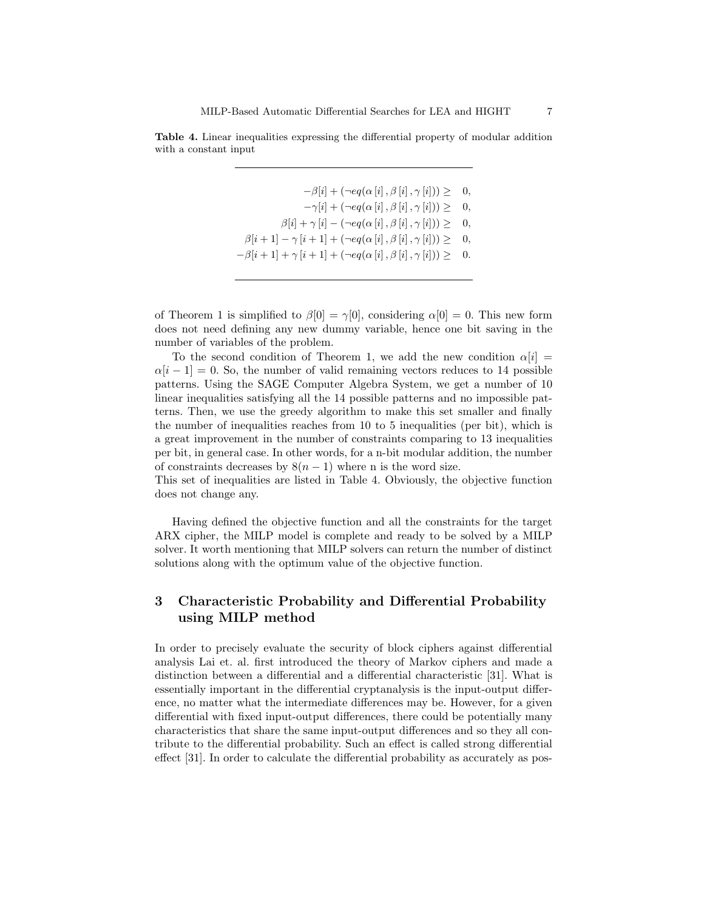

 $-\beta[i] + (\neg eq(\alpha[i], \beta[i], \gamma[i])) \geq 0,$  $-\gamma[i] + (\neg eq(\alpha[i], \beta[i], \gamma[i])) \geq 0,$  $\beta[i] + \gamma[i] - (\neg eq(\alpha[i], \beta[i], \gamma[i])) \geq 0,$  $\beta[i+1] - \gamma[i+1] + (\neg eq(\alpha[i], \beta[i], \gamma[i])) \geq 0,$  $-\beta[i+1]+\gamma[i+1]+(\neg eq(\alpha[i],\beta[i],\gamma[i]))\geq 0.$ 

of Theorem 1 is simplified to  $\beta[0] = \gamma[0]$ , considering  $\alpha[0] = 0$ . This new form does not need defining any new dummy variable, hence one bit saving in the number of variables of the problem.

To the second condition of Theorem 1, we add the new condition  $\alpha[i]$  =  $\alpha[i-1] = 0$ . So, the number of valid remaining vectors reduces to 14 possible patterns. Using the SAGE Computer Algebra System, we get a number of 10 linear inequalities satisfying all the 14 possible patterns and no impossible patterns. Then, we use the greedy algorithm to make this set smaller and finally the number of inequalities reaches from 10 to 5 inequalities (per bit), which is a great improvement in the number of constraints comparing to 13 inequalities per bit, in general case. In other words, for a n-bit modular addition, the number of constraints decreases by  $8(n-1)$  where n is the word size.

This set of inequalities are listed in Table 4. Obviously, the objective function does not change any.

Having defined the objective function and all the constraints for the target ARX cipher, the MILP model is complete and ready to be solved by a MILP solver. It worth mentioning that MILP solvers can return the number of distinct solutions along with the optimum value of the objective function.

# 3 Characteristic Probability and Differential Probability using MILP method

In order to precisely evaluate the security of block ciphers against differential analysis Lai et. al. first introduced the theory of Markov ciphers and made a distinction between a differential and a differential characteristic [31]. What is essentially important in the differential cryptanalysis is the input-output difference, no matter what the intermediate differences may be. However, for a given differential with fixed input-output differences, there could be potentially many characteristics that share the same input-output differences and so they all contribute to the differential probability. Such an effect is called strong differential effect [31]. In order to calculate the differential probability as accurately as pos-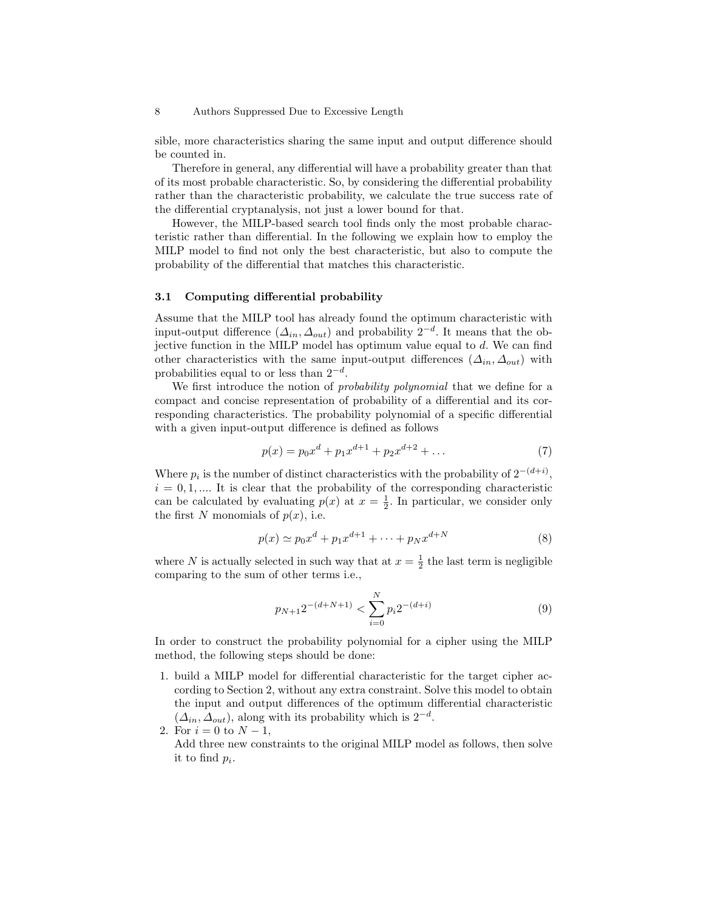sible, more characteristics sharing the same input and output difference should be counted in.

Therefore in general, any differential will have a probability greater than that of its most probable characteristic. So, by considering the differential probability rather than the characteristic probability, we calculate the true success rate of the differential cryptanalysis, not just a lower bound for that.

However, the MILP-based search tool finds only the most probable characteristic rather than differential. In the following we explain how to employ the MILP model to find not only the best characteristic, but also to compute the probability of the differential that matches this characteristic.

### 3.1 Computing differential probability

Assume that the MILP tool has already found the optimum characteristic with input-output difference  $(\Delta_{in}, \Delta_{out})$  and probability  $2^{-d}$ . It means that the objective function in the MILP model has optimum value equal to  $d$ . We can find other characteristics with the same input-output differences  $(\Delta_{in}, \Delta_{out})$  with probabilities equal to or less than  $2^{-d}$ .

We first introduce the notion of *probability polynomial* that we define for a compact and concise representation of probability of a differential and its corresponding characteristics. The probability polynomial of a specific differential with a given input-output difference is defined as follows

$$
p(x) = p_0 x^d + p_1 x^{d+1} + p_2 x^{d+2} + \dots \tag{7}
$$

Where  $p_i$  is the number of distinct characteristics with the probability of  $2^{-(d+i)}$ ,  $i = 0, 1, \dots$  It is clear that the probability of the corresponding characteristic can be calculated by evaluating  $p(x)$  at  $x = \frac{1}{2}$ . In particular, we consider only the first N monomials of  $p(x)$ , i.e.

$$
p(x) \simeq p_0 x^d + p_1 x^{d+1} + \dots + p_N x^{d+N}
$$
 (8)

where N is actually selected in such way that at  $x = \frac{1}{2}$  the last term is negligible comparing to the sum of other terms i.e.,

$$
p_{N+1}2^{-(d+N+1)} < \sum_{i=0}^{N} p_i 2^{-(d+i)} \tag{9}
$$

In order to construct the probability polynomial for a cipher using the MILP method, the following steps should be done:

- 1. build a MILP model for differential characteristic for the target cipher according to Section 2, without any extra constraint. Solve this model to obtain the input and output differences of the optimum differential characteristic  $(\Delta_{in}, \Delta_{out})$ , along with its probability which is  $2^{-d}$ .
- 2. For  $i = 0$  to  $N 1$ , Add three new constraints to the original MILP model as follows, then solve it to find  $p_i$ .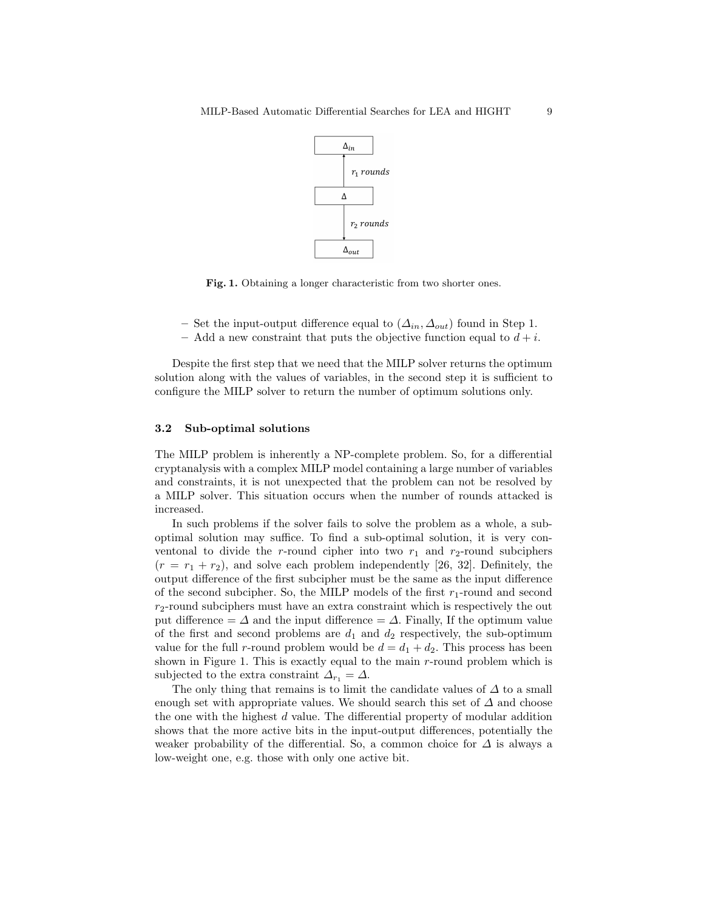

Fig. 1. Obtaining a longer characteristic from two shorter ones.

- Set the input-output difference equal to  $(\Delta_{in}, \Delta_{out})$  found in Step 1.
- Add a new constraint that puts the objective function equal to  $d + i$ .

Despite the first step that we need that the MILP solver returns the optimum solution along with the values of variables, in the second step it is sufficient to configure the MILP solver to return the number of optimum solutions only.

### 3.2 Sub-optimal solutions

The MILP problem is inherently a NP-complete problem. So, for a differential cryptanalysis with a complex MILP model containing a large number of variables and constraints, it is not unexpected that the problem can not be resolved by a MILP solver. This situation occurs when the number of rounds attacked is increased.

In such problems if the solver fails to solve the problem as a whole, a suboptimal solution may suffice. To find a sub-optimal solution, it is very conventonal to divide the r-round cipher into two  $r_1$  and  $r_2$ -round subciphers  $(r = r_1 + r_2)$ , and solve each problem independently [26, 32]. Definitely, the output difference of the first subcipher must be the same as the input difference of the second subcipher. So, the MILP models of the first  $r_1$ -round and second  $r_2$ -round subciphers must have an extra constraint which is respectively the out put difference =  $\Delta$  and the input difference =  $\Delta$ . Finally, If the optimum value of the first and second problems are  $d_1$  and  $d_2$  respectively, the sub-optimum value for the full r-round problem would be  $d = d_1 + d_2$ . This process has been shown in Figure 1. This is exactly equal to the main  $r$ -round problem which is subjected to the extra constraint  $\Delta_{r_1} = \Delta$ .

The only thing that remains is to limit the candidate values of  $\Delta$  to a small enough set with appropriate values. We should search this set of  $\Delta$  and choose the one with the highest  $d$  value. The differential property of modular addition shows that the more active bits in the input-output differences, potentially the weaker probability of the differential. So, a common choice for  $\Delta$  is always a low-weight one, e.g. those with only one active bit.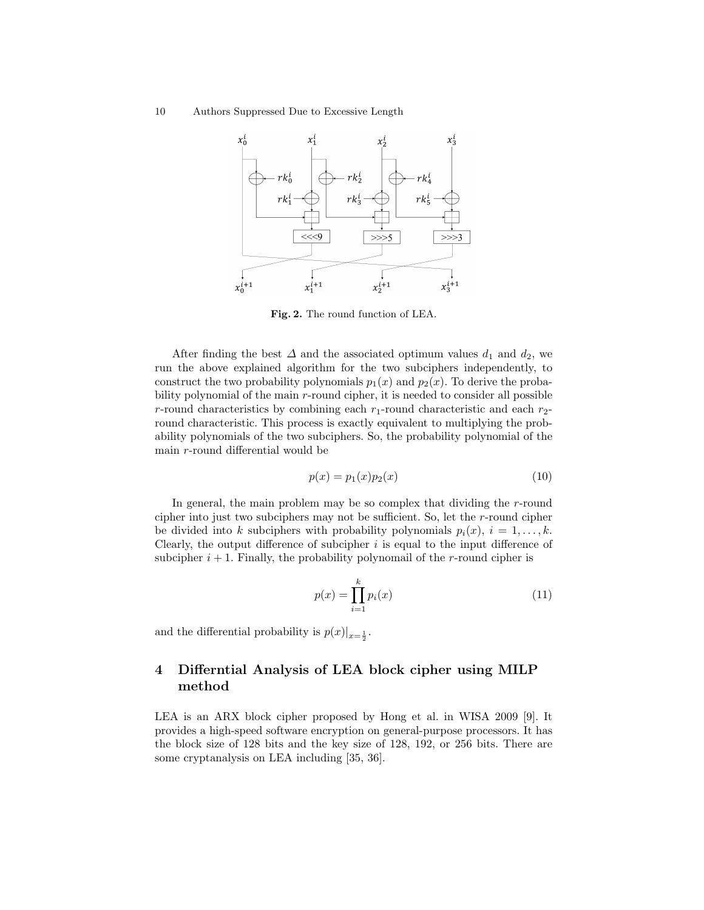10 Authors Suppressed Due to Excessive Length



Fig. 2. The round function of LEA.

After finding the best  $\Delta$  and the associated optimum values  $d_1$  and  $d_2$ , we run the above explained algorithm for the two subciphers independently, to construct the two probability polynomials  $p_1(x)$  and  $p_2(x)$ . To derive the probability polynomial of the main r-round cipher, it is needed to consider all possible r-round characteristics by combining each  $r_1$ -round characteristic and each  $r_2$ round characteristic. This process is exactly equivalent to multiplying the probability polynomials of the two subciphers. So, the probability polynomial of the main r-round differential would be

$$
p(x) = p_1(x)p_2(x) \tag{10}
$$

In general, the main problem may be so complex that dividing the r-round cipher into just two subciphers may not be sufficient. So, let the r-round cipher be divided into k subciphers with probability polynomials  $p_i(x)$ ,  $i = 1, \ldots, k$ . Clearly, the output difference of subcipher  $i$  is equal to the input difference of subcipher  $i + 1$ . Finally, the probability polynomail of the r-round cipher is

$$
p(x) = \prod_{i=1}^{k} p_i(x)
$$
 (11)

and the differential probability is  $p(x)|_{x=\frac{1}{2}}$ .

# 4 Differntial Analysis of LEA block cipher using MILP method

LEA is an ARX block cipher proposed by Hong et al. in WISA 2009 [9]. It provides a high-speed software encryption on general-purpose processors. It has the block size of 128 bits and the key size of 128, 192, or 256 bits. There are some cryptanalysis on LEA including [35, 36].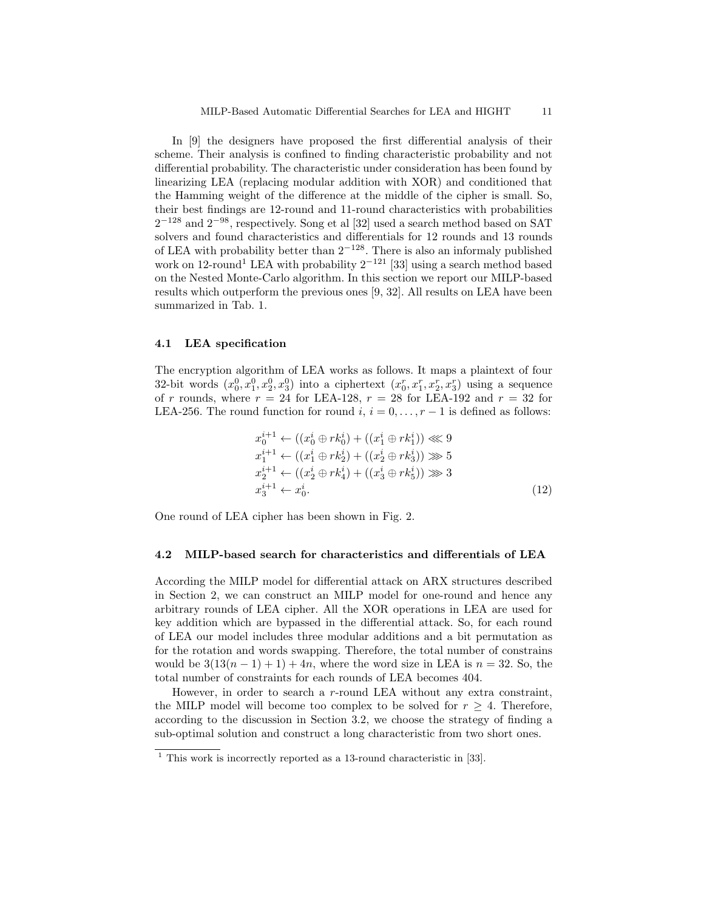In [9] the designers have proposed the first differential analysis of their scheme. Their analysis is confined to finding characteristic probability and not differential probability. The characteristic under consideration has been found by linearizing LEA (replacing modular addition with XOR) and conditioned that the Hamming weight of the difference at the middle of the cipher is small. So, their best findings are 12-round and 11-round characteristics with probabilities  $2^{-128}$  and  $2^{-98}$ , respectively. Song et al [32] used a search method based on SAT solvers and found characteristics and differentials for 12 rounds and 13 rounds of LEA with probability better than  $2^{-128}$ . There is also an informaly published work on 12-round<sup>1</sup> LEA with probability  $2^{-121}$  [33] using a search method based on the Nested Monte-Carlo algorithm. In this section we report our MILP-based results which outperform the previous ones [9, 32]. All results on LEA have been summarized in Tab. 1.

#### 4.1 LEA specification

The encryption algorithm of LEA works as follows. It maps a plaintext of four 32-bit words  $(x_0^0, x_1^0, x_2^0, x_3^0)$  into a ciphertext  $(x_0^r, x_1^r, x_2^r, x_3^r)$  using a sequence of r rounds, where  $r = 24$  for LEA-128,  $r = 28$  for LEA-192 and  $r = 32$  for LEA-256. The round function for round  $i, i = 0, \ldots, r - 1$  is defined as follows:

$$
x_0^{i+1} \leftarrow ((x_0^i \oplus rk_0^i) + ((x_1^i \oplus rk_1^i)) \ll 9
$$
  
\n
$$
x_1^{i+1} \leftarrow ((x_1^i \oplus rk_2^i) + ((x_2^i \oplus rk_3^i)) \gg 5
$$
  
\n
$$
x_2^{i+1} \leftarrow ((x_2^i \oplus rk_4^i) + ((x_3^i \oplus rk_5^i)) \gg 3
$$
  
\n
$$
x_3^{i+1} \leftarrow x_0^i.
$$
\n(12)

One round of LEA cipher has been shown in Fig. 2.

#### 4.2 MILP-based search for characteristics and differentials of LEA

According the MILP model for differential attack on ARX structures described in Section 2, we can construct an MILP model for one-round and hence any arbitrary rounds of LEA cipher. All the XOR operations in LEA are used for key addition which are bypassed in the differential attack. So, for each round of LEA our model includes three modular additions and a bit permutation as for the rotation and words swapping. Therefore, the total number of constrains would be  $3(13(n-1)+1)+4n$ , where the word size in LEA is  $n = 32$ . So, the total number of constraints for each rounds of LEA becomes 404.

However, in order to search a r-round LEA without any extra constraint, the MILP model will become too complex to be solved for  $r \geq 4$ . Therefore, according to the discussion in Section 3.2, we choose the strategy of finding a sub-optimal solution and construct a long characteristic from two short ones.

 $1$  This work is incorrectly reported as a 13-round characteristic in [33].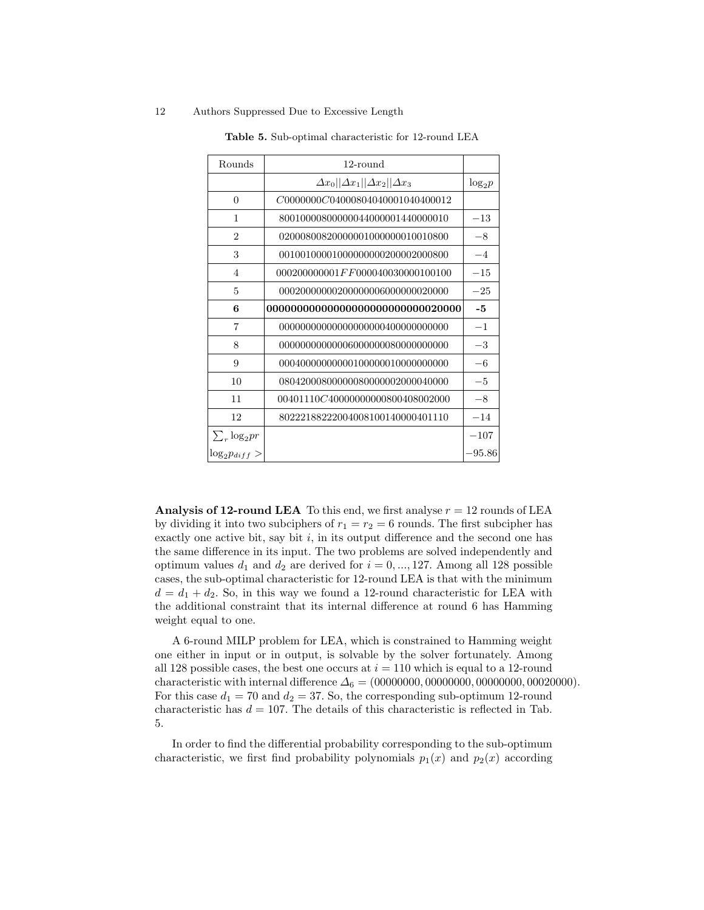| Rounds               | 12-round                                         |           |
|----------------------|--------------------------------------------------|-----------|
|                      | $\Delta x_0  \Delta x_1  \Delta x_2  \Delta x_3$ | $log_2 p$ |
| $\theta$             | C0000000C04000804040001040400012                 |           |
| 1                    | 80010000800000044000001440000010                 | $^{-13}$  |
| $\overline{2}$       | 02000800820000001000000010010800                 | $-8$      |
| 3                    | 00100100001000000000200002000800                 | $-4$      |
| $\overline{4}$       | $000200000001$ $FF000040030000100100$            | $-15$     |
| 5                    | 000200000002000000006000000020000                | $-25$     |
| 6                    | 0000000000000000000000000000020000               | -5        |
| 7                    | 0000000000000000000004000000000000               | $-1$      |
| 8                    | 00000000000006000000080000000000                 | $-3$      |
| 9                    | 000400000000001000000100000000000                | $-6$      |
| 10                   | 08042000800000080000002000040000                 | $-5$      |
| 11                   | 00401110C40000000000800408002000                 | $-8$      |
| 12                   | 80222188222004008100140000401110                 | $-14$     |
| $\sum_{r} \log_2 pr$ |                                                  | $-107$    |
| $\log_2 p_{diff} >$  |                                                  | $-95.86$  |

Table 5. Sub-optimal characteristic for 12-round LEA

Analysis of 12-round LEA To this end, we first analyse  $r = 12$  rounds of LEA by dividing it into two subciphers of  $r_1 = r_2 = 6$  rounds. The first subcipher has exactly one active bit, say bit  $i$ , in its output difference and the second one has the same difference in its input. The two problems are solved independently and optimum values  $d_1$  and  $d_2$  are derived for  $i = 0, ..., 127$ . Among all 128 possible cases, the sub-optimal characteristic for 12-round LEA is that with the minimum  $d = d_1 + d_2$ . So, in this way we found a 12-round characteristic for LEA with the additional constraint that its internal difference at round 6 has Hamming weight equal to one.

A 6-round MILP problem for LEA, which is constrained to Hamming weight one either in input or in output, is solvable by the solver fortunately. Among all 128 possible cases, the best one occurs at  $i = 110$  which is equal to a 12-round characteristic with internal difference  $\Delta_6 = (00000000, 0000000, 00000000, 00020000)$ . For this case  $d_1 = 70$  and  $d_2 = 37$ . So, the corresponding sub-optimum 12-round characteristic has  $d = 107$ . The details of this characteristic is reflected in Tab. 5.

In order to find the differential probability corresponding to the sub-optimum characteristic, we first find probability polynomials  $p_1(x)$  and  $p_2(x)$  according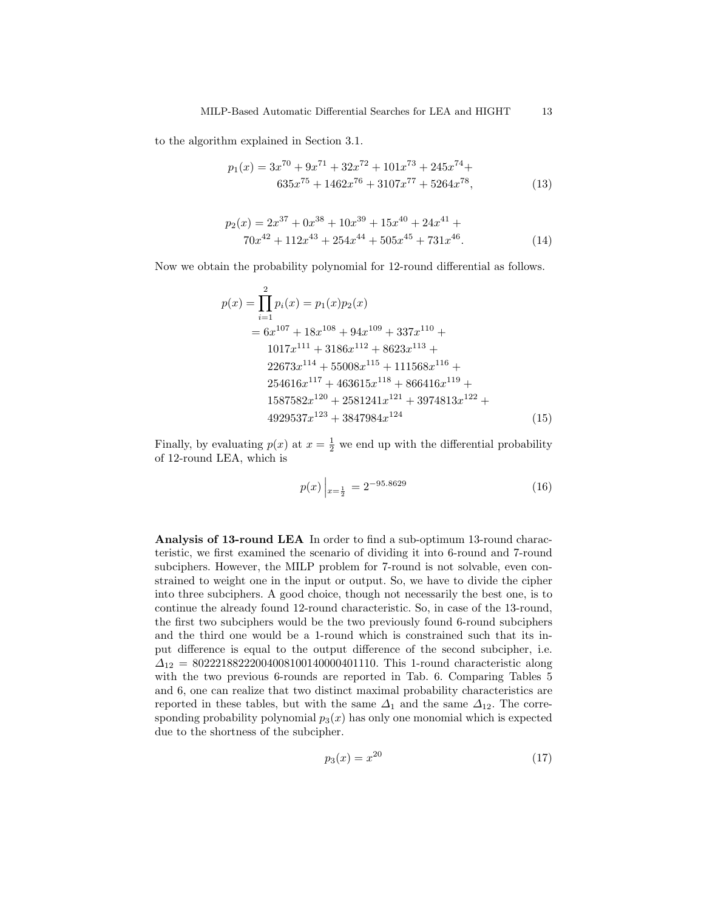to the algorithm explained in Section 3.1.

$$
p_1(x) = 3x^{70} + 9x^{71} + 32x^{72} + 101x^{73} + 245x^{74} + 635x^{75} + 1462x^{76} + 3107x^{77} + 5264x^{78},
$$
\n(13)

$$
p_2(x) = 2x^{37} + 0x^{38} + 10x^{39} + 15x^{40} + 24x^{41} + 70x^{42} + 112x^{43} + 254x^{44} + 505x^{45} + 731x^{46}.
$$
 (14)

Now we obtain the probability polynomial for 12-round differential as follows.

$$
p(x) = \prod_{i=1}^{2} p_i(x) = p_1(x)p_2(x)
$$
  
=  $6x^{107} + 18x^{108} + 94x^{109} + 337x^{110} + 1017x^{111} + 3186x^{112} + 8623x^{113} + 22673x^{114} + 55008x^{115} + 111568x^{116} + 254616x^{117} + 463615x^{118} + 866416x^{119} + 1587582x^{120} + 2581241x^{121} + 3974813x^{122} + 4929537x^{123} + 3847984x^{124}$  (15)

Finally, by evaluating  $p(x)$  at  $x = \frac{1}{2}$  we end up with the differential probability of 12-round LEA, which is

$$
p(x)\Big|_{x=\frac{1}{2}} = 2^{-95.8629} \tag{16}
$$

Analysis of 13-round LEA In order to find a sub-optimum 13-round characteristic, we first examined the scenario of dividing it into 6-round and 7-round subciphers. However, the MILP problem for 7-round is not solvable, even constrained to weight one in the input or output. So, we have to divide the cipher into three subciphers. A good choice, though not necessarily the best one, is to continue the already found 12-round characteristic. So, in case of the 13-round, the first two subciphers would be the two previously found 6-round subciphers and the third one would be a 1-round which is constrained such that its input difference is equal to the output difference of the second subcipher, i.e.  $\Delta_{12}$  = 80222188222004008100140000401110. This 1-round characteristic along with the two previous 6-rounds are reported in Tab. 6. Comparing Tables 5 and 6, one can realize that two distinct maximal probability characteristics are reported in these tables, but with the same  $\Delta_1$  and the same  $\Delta_{12}$ . The corresponding probability polynomial  $p_3(x)$  has only one monomial which is expected due to the shortness of the subcipher.

$$
p_3(x) = x^{20} \tag{17}
$$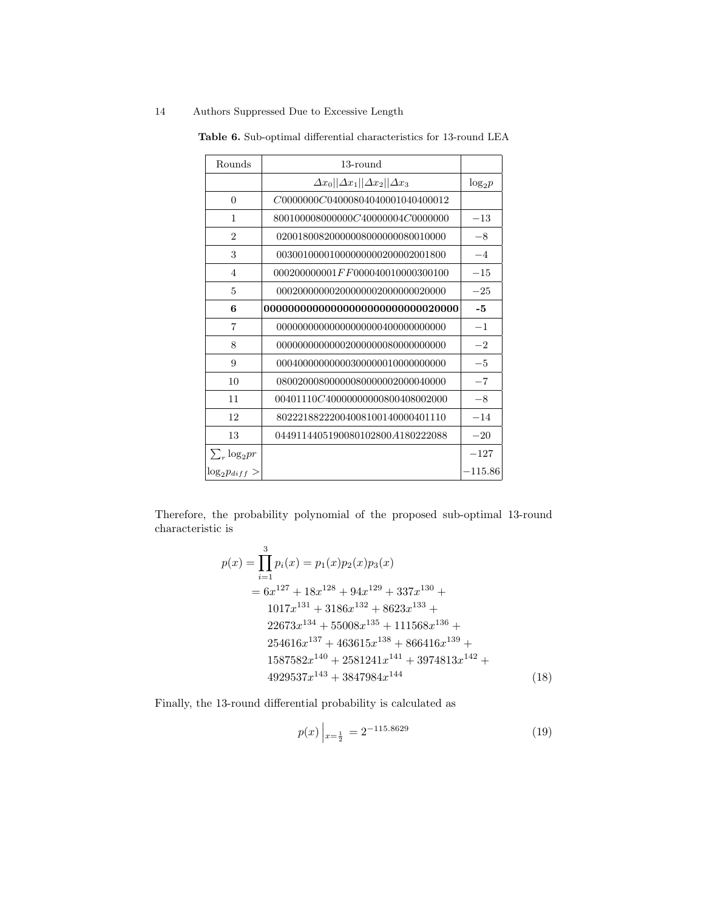| Rounds               | 13-round                                         |           |
|----------------------|--------------------------------------------------|-----------|
|                      | $\Delta x_0  \Delta x_1  \Delta x_2  \Delta x_3$ | $log_2 p$ |
| $\theta$             | C0000000C04000804040001040400012                 |           |
| 1                    | 800100008000000C40000004C0000000                 | $-13$     |
| $\overline{2}$       | 02001800820000008000000080010000                 | $-8$      |
| 3                    | 00300100001000000000200002001800                 | $-4$      |
| $\overline{4}$       | $000200000001$ $FF000040010000300100$            | $-15\,$   |
| 5                    | 00020000000200000002000000020000                 | $-25$     |
| 6                    |                                                  | -5        |
| 7                    | 000000000000000000000400000000000                | $-1$      |
| 8                    | 00000000000002000000080000000000                 | $-2$      |
| 9                    | 00040000000000300000010000000000                 | $-5$      |
| 10                   | 08002000800000080000002000040000                 | $-7$      |
| 11                   | 00401110C40000000000800408002000                 | $-8$      |
| 12                   | 80222188222004008100140000401110                 | $-14$     |
| 13                   | 0449114405190080102800 $A180222088$              | $-20$     |
| $\sum_{r} \log_2 pr$ |                                                  | $-127$    |
| $\log_2 p_{diff} >$  |                                                  | $-115.86$ |

Table 6. Sub-optimal differential characteristics for 13-round LEA

Therefore, the probability polynomial of the proposed sub-optimal 13-round characteristic is

$$
p(x) = \prod_{i=1}^{3} p_i(x) = p_1(x)p_2(x)p_3(x)
$$
  
=  $6x^{127} + 18x^{128} + 94x^{129} + 337x^{130} + 1017x^{131} + 3186x^{132} + 8623x^{133} + 22673x^{134} + 55008x^{135} + 111568x^{136} + 254616x^{137} + 463615x^{138} + 866416x^{139} + 1587582x^{140} + 2581241x^{141} + 3974813x^{142} + 4929537x^{143} + 3847984x^{144}$  (18)

Finally, the 13-round differential probability is calculated as

$$
p(x)\Big|_{x=\frac{1}{2}} = 2^{-115.8629} \tag{19}
$$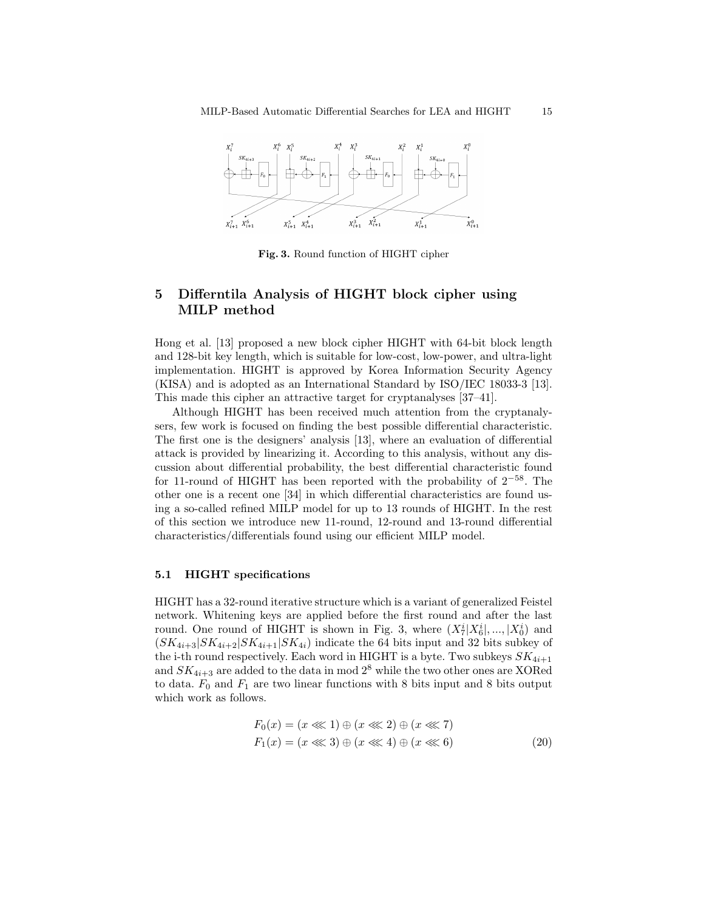

Fig. 3. Round function of HIGHT cipher

# 5 Differntila Analysis of HIGHT block cipher using MILP method

Hong et al. [13] proposed a new block cipher HIGHT with 64-bit block length and 128-bit key length, which is suitable for low-cost, low-power, and ultra-light implementation. HIGHT is approved by Korea Information Security Agency (KISA) and is adopted as an International Standard by ISO/IEC 18033-3 [13]. This made this cipher an attractive target for cryptanalyses [37–41].

Although HIGHT has been received much attention from the cryptanalysers, few work is focused on finding the best possible differential characteristic. The first one is the designers' analysis [13], where an evaluation of differential attack is provided by linearizing it. According to this analysis, without any discussion about differential probability, the best differential characteristic found for 11-round of HIGHT has been reported with the probability of  $2^{-58}$ . The other one is a recent one [34] in which differential characteristics are found using a so-called refined MILP model for up to 13 rounds of HIGHT. In the rest of this section we introduce new 11-round, 12-round and 13-round differential characteristics/differentials found using our efficient MILP model.

### 5.1 HIGHT specifications

HIGHT has a 32-round iterative structure which is a variant of generalized Feistel network. Whitening keys are applied before the first round and after the last round. One round of HIGHT is shown in Fig. 3, where  $(X_7^i | X_6^i |,..., | X_0^i)$  and  $(SK_{4i+3}|SK_{4i+2}|SK_{4i+1}|SK_{4i})$  indicate the 64 bits input and 32 bits subkey of the i-th round respectively. Each word in HIGHT is a byte. Two subkeys  $SK_{4i+1}$ and  $SK_{4i+3}$  are added to the data in mod  $2^8$  while the two other ones are XORed to data.  $F_0$  and  $F_1$  are two linear functions with 8 bits input and 8 bits output which work as follows.

$$
F_0(x) = (x \lll 1) \oplus (x \lll 2) \oplus (x \lll 7)
$$
  
\n
$$
F_1(x) = (x \lll 3) \oplus (x \lll 4) \oplus (x \lll 6)
$$
\n(20)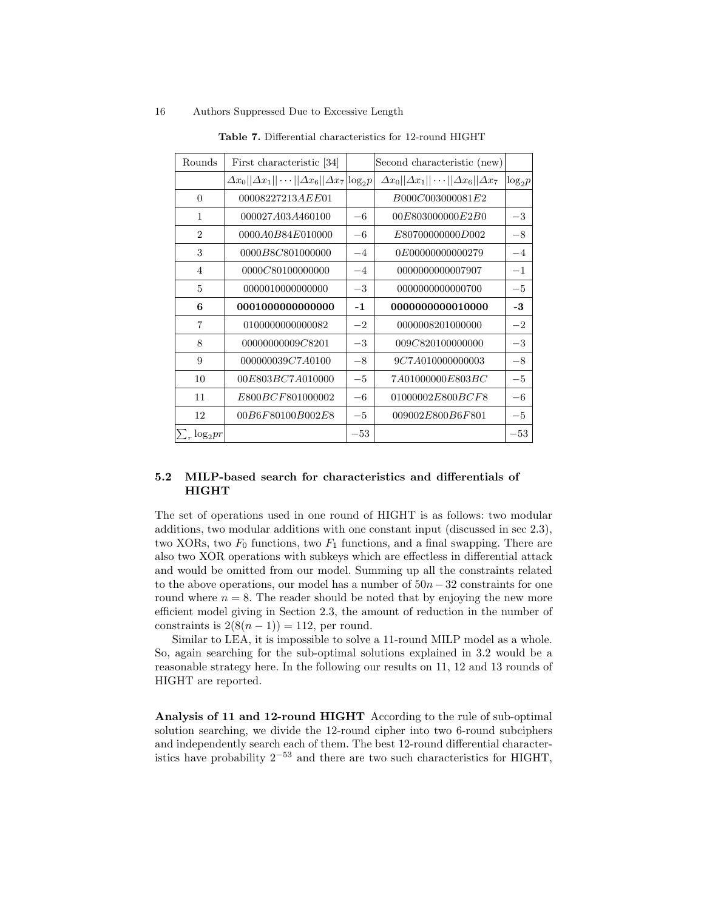| Rounds               | First characteristic [34]                                        |       | Second characteristic (new)                              |           |
|----------------------|------------------------------------------------------------------|-------|----------------------------------------------------------|-----------|
|                      | $\Delta x_0  \Delta x_1  \cdots  \Delta x_6  \Delta x_7 log_2 p$ |       | $\Delta x_0  \Delta x_1  \cdots  \Delta x_6  \Delta x_7$ | $log_2 p$ |
| $\Omega$             | 00008227213AEE01                                                 |       | B000C003000081E2                                         |           |
| $\mathbf{1}$         | 000027A03A460100                                                 | $-6$  | 00E803000000E2B0                                         | $-3$      |
| $\overline{2}$       | 0000 <i>A</i> 0 <i>B</i> 84 <i>E</i> 010000                      | $-6$  | E80700000000D002                                         | $-8$      |
| 3                    | 0000B8C801000000                                                 | $-4$  | 0E00000000000279                                         | $-4$      |
| $\overline{4}$       | 0000C80100000000                                                 | $-4$  | 0000000000007907                                         | $-1$      |
| $\mathbf{5}$         | 0000010000000000                                                 | $-3$  | 0000000000000700                                         | $-5$      |
| 6                    | 0001000000000000                                                 | $-1$  | 0000000000010000                                         | $-3$      |
| $\overline{7}$       | 0100000000000082                                                 | $-2$  | 0000008201000000                                         | $-2$      |
| 8                    | 00000000009C8201                                                 | $-3$  | 009C820100000000                                         | $-3$      |
| 9                    | 000000039C7A0100                                                 | $-8$  | 9C7A010000000003                                         | $-8$      |
| 10                   | 00E803BC7A010000                                                 | $-5$  | 7A01000000E803BC                                         | $-5$      |
| 11                   | E800BCF801000002                                                 | $-6$  | 01000002E800BCF8                                         | $-6$      |
| 12                   | 00B6F80100B002E8                                                 | $-5$  | 009002E800B6F801                                         | $-5$      |
| $\sum_{r} \log_2 pr$ |                                                                  | $-53$ |                                                          | $-53$     |

Table 7. Differential characteristics for 12-round HIGHT

# 5.2 MILP-based search for characteristics and differentials of HIGHT

The set of operations used in one round of HIGHT is as follows: two modular additions, two modular additions with one constant input (discussed in sec 2.3), two XORs, two  $F_0$  functions, two  $F_1$  functions, and a final swapping. There are also two XOR operations with subkeys which are effectless in differential attack and would be omitted from our model. Summing up all the constraints related to the above operations, our model has a number of  $50n-32$  constraints for one round where  $n = 8$ . The reader should be noted that by enjoying the new more efficient model giving in Section 2.3, the amount of reduction in the number of constraints is  $2(8(n-1)) = 112$ , per round.

Similar to LEA, it is impossible to solve a 11-round MILP model as a whole. So, again searching for the sub-optimal solutions explained in 3.2 would be a reasonable strategy here. In the following our results on 11, 12 and 13 rounds of HIGHT are reported.

Analysis of 11 and 12-round HIGHT According to the rule of sub-optimal solution searching, we divide the 12-round cipher into two 6-round subciphers and independently search each of them. The best 12-round differential characteristics have probability  $2^{-53}$  and there are two such characteristics for HIGHT,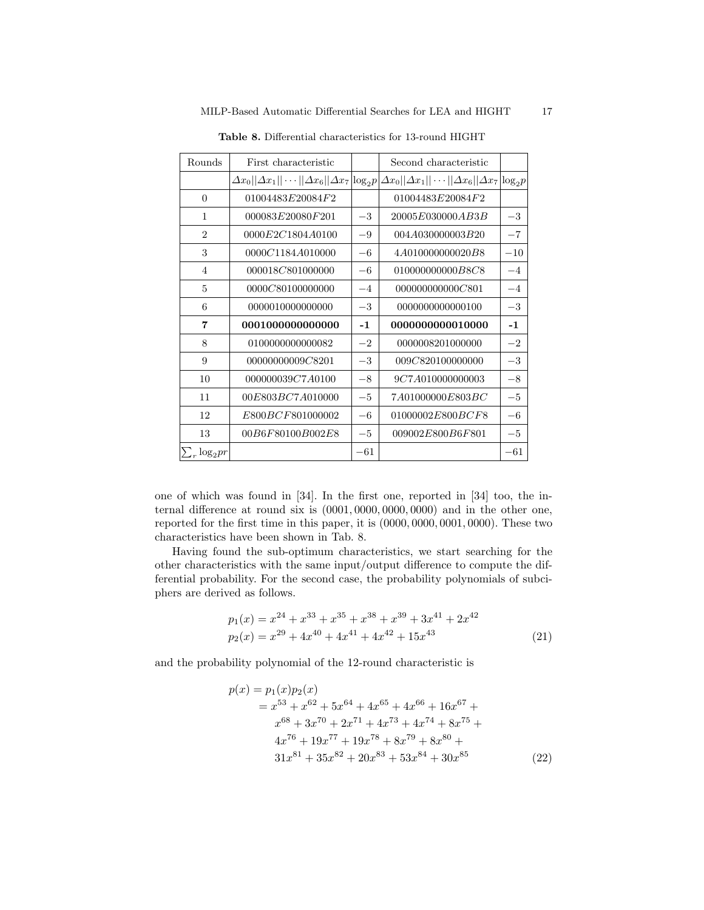| Rounds               | First characteristic                                      |            | Second characteristic                                             |       |
|----------------------|-----------------------------------------------------------|------------|-------------------------------------------------------------------|-------|
|                      | $\Delta x_0  \Delta x_1  \cdots  \Delta x_6  \Delta x_7 $ | $\log_2 p$ | $\Delta x_0  \Delta x_1  \cdots  \Delta x_6  \Delta x_7 \log_2 p$ |       |
| $\theta$             | 01004483E20084F2                                          |            | 01004483E20084F2                                                  |       |
| 1                    | 000083E20080F201                                          | $-3$       | 20005 <i>E</i> 030000 <i>AB</i> 3 <i>B</i>                        | $-3$  |
| $\overline{2}$       | 0000E2C1804A0100                                          | $-9$       | 004A030000003B20                                                  | $-7$  |
| 3                    | 0000C1184A010000                                          | $-6$       | 4A010000000020B8                                                  | $-10$ |
| $\overline{4}$       | 000018C801000000                                          | $-6$       | 010000000000 <i>B8C8</i>                                          | $-4$  |
| 5                    | 0000C80100000000                                          | $-4$       | 000000000000C801                                                  | $-4$  |
| 6                    | 0000010000000000                                          | $-3$       | 0000000000000100                                                  | $-3$  |
| 7                    | 0001000000000000                                          | $-1$       | 0000000000010000                                                  | $-1$  |
| 8                    | 0100000000000082                                          | $-2$       | 0000008201000000                                                  | $-2$  |
| 9                    | 00000000009C8201                                          | $-3$       | 009C820100000000                                                  | $-3$  |
| 10                   | 000000039C7A0100                                          | $-8$       | 9C7A010000000003                                                  | $-8$  |
| 11                   | 00E803BC7A010000                                          | $-5$       | 7A01000000E803BC                                                  | $-5$  |
| 12                   | E800BCF801000002                                          | $-6$       | 01000002E800BCF8                                                  | $-6$  |
| 13                   | 00B6F80100B002E8                                          | $-5$       | 009002E800B6F801                                                  | $-5$  |
| $\sum_{r} \log_2 pr$ |                                                           | $-61$      |                                                                   | $-61$ |

Table 8. Differential characteristics for 13-round HIGHT

one of which was found in [34]. In the first one, reported in [34] too, the internal difference at round six is (0001, 0000, 0000, 0000) and in the other one, reported for the first time in this paper, it is (0000, 0000, 0001, 0000). These two characteristics have been shown in Tab. 8.

Having found the sub-optimum characteristics, we start searching for the other characteristics with the same input/output difference to compute the differential probability. For the second case, the probability polynomials of subciphers are derived as follows.

$$
p_1(x) = x^{24} + x^{33} + x^{35} + x^{38} + x^{39} + 3x^{41} + 2x^{42}
$$
  
\n
$$
p_2(x) = x^{29} + 4x^{40} + 4x^{41} + 4x^{42} + 15x^{43}
$$
\n(21)

and the probability polynomial of the 12-round characteristic is

$$
p(x) = p_1(x)p_2(x)
$$
  
=  $x^{53} + x^{62} + 5x^{64} + 4x^{65} + 4x^{66} + 16x^{67} + x^{68} + 3x^{70} + 2x^{71} + 4x^{73} + 4x^{74} + 8x^{75} + 4x^{76} + 19x^{77} + 19x^{78} + 8x^{79} + 8x^{80} + 31x^{81} + 35x^{82} + 20x^{83} + 53x^{84} + 30x^{85}$  (22)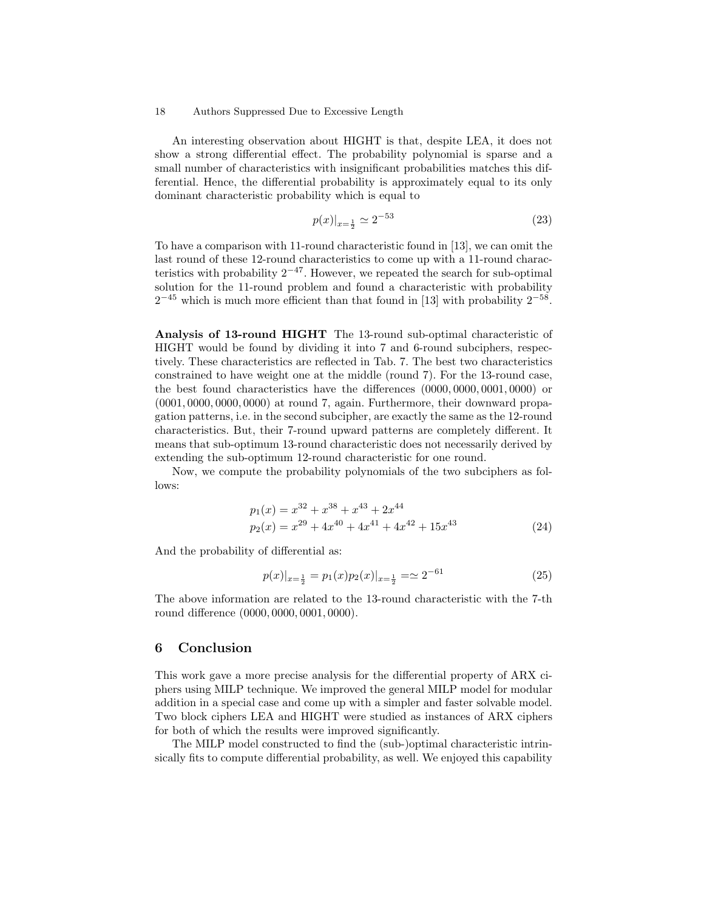An interesting observation about HIGHT is that, despite LEA, it does not show a strong differential effect. The probability polynomial is sparse and a small number of characteristics with insignificant probabilities matches this differential. Hence, the differential probability is approximately equal to its only dominant characteristic probability which is equal to

$$
p(x)|_{x=\frac{1}{2}} \simeq 2^{-53} \tag{23}
$$

To have a comparison with 11-round characteristic found in [13], we can omit the last round of these 12-round characteristics to come up with a 11-round characteristics with probability  $2^{-47}$ . However, we repeated the search for sub-optimal solution for the 11-round problem and found a characteristic with probability  $2^{-45}$  which is much more efficient than that found in [13] with probability  $2^{-58}$ .

Analysis of 13-round HIGHT The 13-round sub-optimal characteristic of HIGHT would be found by dividing it into 7 and 6-round subciphers, respectively. These characteristics are reflected in Tab. 7. The best two characteristics constrained to have weight one at the middle (round 7). For the 13-round case, the best found characteristics have the differences (0000, 0000, 0001, 0000) or (0001, 0000, 0000, 0000) at round 7, again. Furthermore, their downward propagation patterns, i.e. in the second subcipher, are exactly the same as the 12-round characteristics. But, their 7-round upward patterns are completely different. It means that sub-optimum 13-round characteristic does not necessarily derived by extending the sub-optimum 12-round characteristic for one round.

Now, we compute the probability polynomials of the two subciphers as follows:

$$
p_1(x) = x^{32} + x^{38} + x^{43} + 2x^{44}
$$
  
\n
$$
p_2(x) = x^{29} + 4x^{40} + 4x^{41} + 4x^{42} + 15x^{43}
$$
\n(24)

And the probability of differential as:

$$
p(x)|_{x=\frac{1}{2}} = p_1(x)p_2(x)|_{x=\frac{1}{2}} = \simeq 2^{-61}
$$
\n(25)

The above information are related to the 13-round characteristic with the 7-th round difference (0000, 0000, 0001, 0000).

## 6 Conclusion

This work gave a more precise analysis for the differential property of ARX ciphers using MILP technique. We improved the general MILP model for modular addition in a special case and come up with a simpler and faster solvable model. Two block ciphers LEA and HIGHT were studied as instances of ARX ciphers for both of which the results were improved significantly.

The MILP model constructed to find the (sub-)optimal characteristic intrinsically fits to compute differential probability, as well. We enjoyed this capability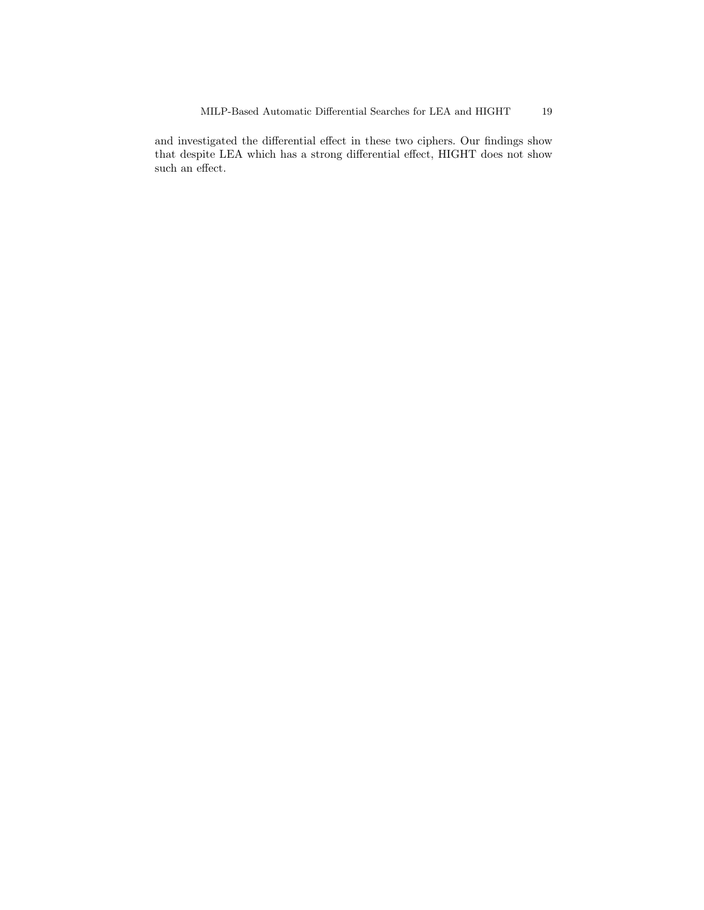and investigated the differential effect in these two ciphers. Our findings show that despite LEA which has a strong differential effect, HIGHT does not show such an effect.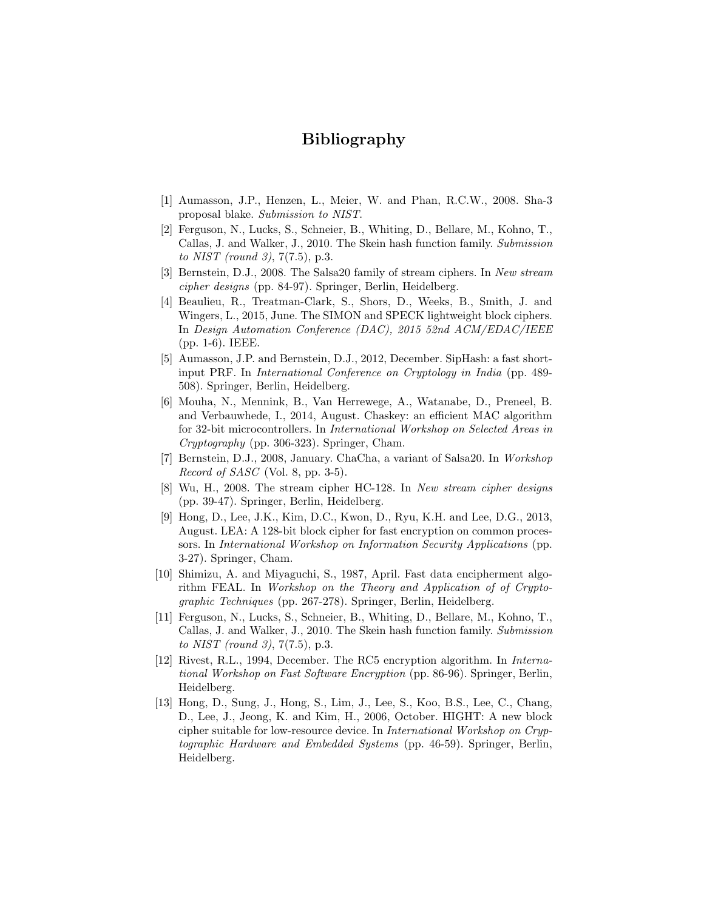# Bibliography

- [1] Aumasson, J.P., Henzen, L., Meier, W. and Phan, R.C.W., 2008. Sha-3 proposal blake. Submission to NIST.
- [2] Ferguson, N., Lucks, S., Schneier, B., Whiting, D., Bellare, M., Kohno, T., Callas, J. and Walker, J., 2010. The Skein hash function family. Submission to NIST (round 3), 7(7.5), p.3.
- [3] Bernstein, D.J., 2008. The Salsa20 family of stream ciphers. In New stream cipher designs (pp. 84-97). Springer, Berlin, Heidelberg.
- [4] Beaulieu, R., Treatman-Clark, S., Shors, D., Weeks, B., Smith, J. and Wingers, L., 2015, June. The SIMON and SPECK lightweight block ciphers. In Design Automation Conference (DAC), 2015 52nd ACM/EDAC/IEEE (pp. 1-6). IEEE.
- [5] Aumasson, J.P. and Bernstein, D.J., 2012, December. SipHash: a fast shortinput PRF. In International Conference on Cryptology in India (pp. 489- 508). Springer, Berlin, Heidelberg.
- [6] Mouha, N., Mennink, B., Van Herrewege, A., Watanabe, D., Preneel, B. and Verbauwhede, I., 2014, August. Chaskey: an efficient MAC algorithm for 32-bit microcontrollers. In International Workshop on Selected Areas in Cryptography (pp. 306-323). Springer, Cham.
- [7] Bernstein, D.J., 2008, January. ChaCha, a variant of Salsa20. In Workshop Record of SASC (Vol. 8, pp. 3-5).
- [8] Wu, H., 2008. The stream cipher HC-128. In New stream cipher designs (pp. 39-47). Springer, Berlin, Heidelberg.
- [9] Hong, D., Lee, J.K., Kim, D.C., Kwon, D., Ryu, K.H. and Lee, D.G., 2013, August. LEA: A 128-bit block cipher for fast encryption on common processors. In International Workshop on Information Security Applications (pp. 3-27). Springer, Cham.
- [10] Shimizu, A. and Miyaguchi, S., 1987, April. Fast data encipherment algorithm FEAL. In Workshop on the Theory and Application of of Cryptographic Techniques (pp. 267-278). Springer, Berlin, Heidelberg.
- [11] Ferguson, N., Lucks, S., Schneier, B., Whiting, D., Bellare, M., Kohno, T., Callas, J. and Walker, J., 2010. The Skein hash function family. Submission to NIST (round 3), 7(7.5), p.3.
- [12] Rivest, R.L., 1994, December. The RC5 encryption algorithm. In International Workshop on Fast Software Encryption (pp. 86-96). Springer, Berlin, Heidelberg.
- [13] Hong, D., Sung, J., Hong, S., Lim, J., Lee, S., Koo, B.S., Lee, C., Chang, D., Lee, J., Jeong, K. and Kim, H., 2006, October. HIGHT: A new block cipher suitable for low-resource device. In International Workshop on Cryptographic Hardware and Embedded Systems (pp. 46-59). Springer, Berlin, Heidelberg.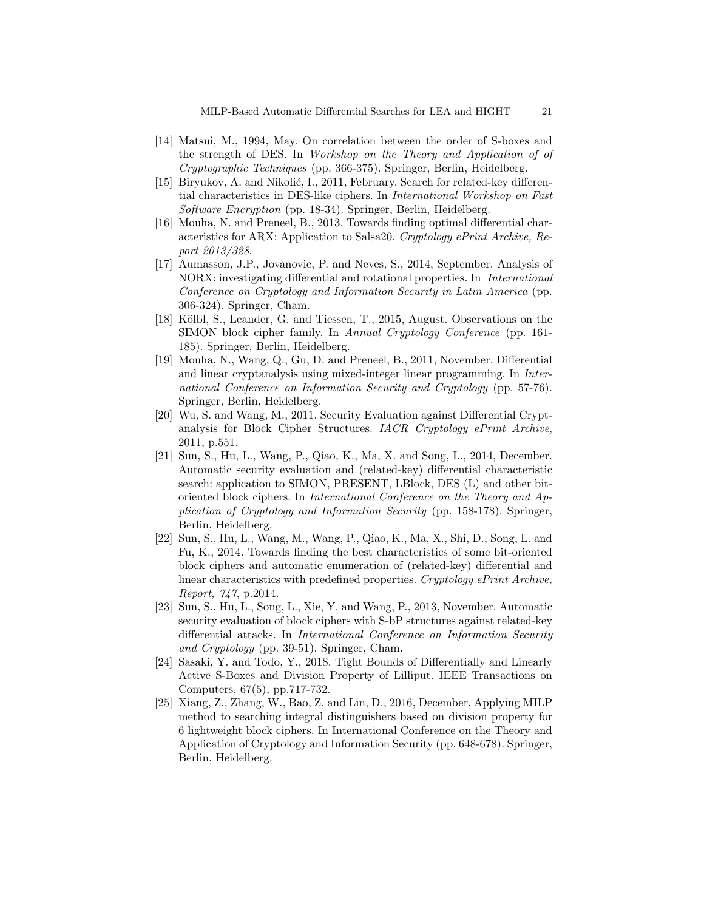- [14] Matsui, M., 1994, May. On correlation between the order of S-boxes and the strength of DES. In Workshop on the Theory and Application of of Cryptographic Techniques (pp. 366-375). Springer, Berlin, Heidelberg.
- [15] Biryukov, A. and Nikolić, I., 2011, February. Search for related-key differential characteristics in DES-like ciphers. In International Workshop on Fast Software Encryption (pp. 18-34). Springer, Berlin, Heidelberg.
- [16] Mouha, N. and Preneel, B., 2013. Towards finding optimal differential characteristics for ARX: Application to Salsa20. Cryptology ePrint Archive, Report 2013/328.
- [17] Aumasson, J.P., Jovanovic, P. and Neves, S., 2014, September. Analysis of NORX: investigating differential and rotational properties. In International Conference on Cryptology and Information Security in Latin America (pp. 306-324). Springer, Cham.
- [18] Kölbl, S., Leander, G. and Tiessen, T., 2015, August. Observations on the SIMON block cipher family. In Annual Cryptology Conference (pp. 161- 185). Springer, Berlin, Heidelberg.
- [19] Mouha, N., Wang, Q., Gu, D. and Preneel, B., 2011, November. Differential and linear cryptanalysis using mixed-integer linear programming. In International Conference on Information Security and Cryptology (pp. 57-76). Springer, Berlin, Heidelberg.
- [20] Wu, S. and Wang, M., 2011. Security Evaluation against Differential Cryptanalysis for Block Cipher Structures. IACR Cryptology ePrint Archive, 2011, p.551.
- [21] Sun, S., Hu, L., Wang, P., Qiao, K., Ma, X. and Song, L., 2014, December. Automatic security evaluation and (related-key) differential characteristic search: application to SIMON, PRESENT, LBlock, DES (L) and other bitoriented block ciphers. In International Conference on the Theory and Application of Cryptology and Information Security (pp. 158-178). Springer, Berlin, Heidelberg.
- [22] Sun, S., Hu, L., Wang, M., Wang, P., Qiao, K., Ma, X., Shi, D., Song, L. and Fu, K., 2014. Towards finding the best characteristics of some bit-oriented block ciphers and automatic enumeration of (related-key) differential and linear characteristics with predefined properties. Cryptology ePrint Archive, Report, 747, p.2014.
- [23] Sun, S., Hu, L., Song, L., Xie, Y. and Wang, P., 2013, November. Automatic security evaluation of block ciphers with S-bP structures against related-key differential attacks. In International Conference on Information Security and Cryptology (pp. 39-51). Springer, Cham.
- [24] Sasaki, Y. and Todo, Y., 2018. Tight Bounds of Differentially and Linearly Active S-Boxes and Division Property of Lilliput. IEEE Transactions on Computers, 67(5), pp.717-732.
- [25] Xiang, Z., Zhang, W., Bao, Z. and Lin, D., 2016, December. Applying MILP method to searching integral distinguishers based on division property for 6 lightweight block ciphers. In International Conference on the Theory and Application of Cryptology and Information Security (pp. 648-678). Springer, Berlin, Heidelberg.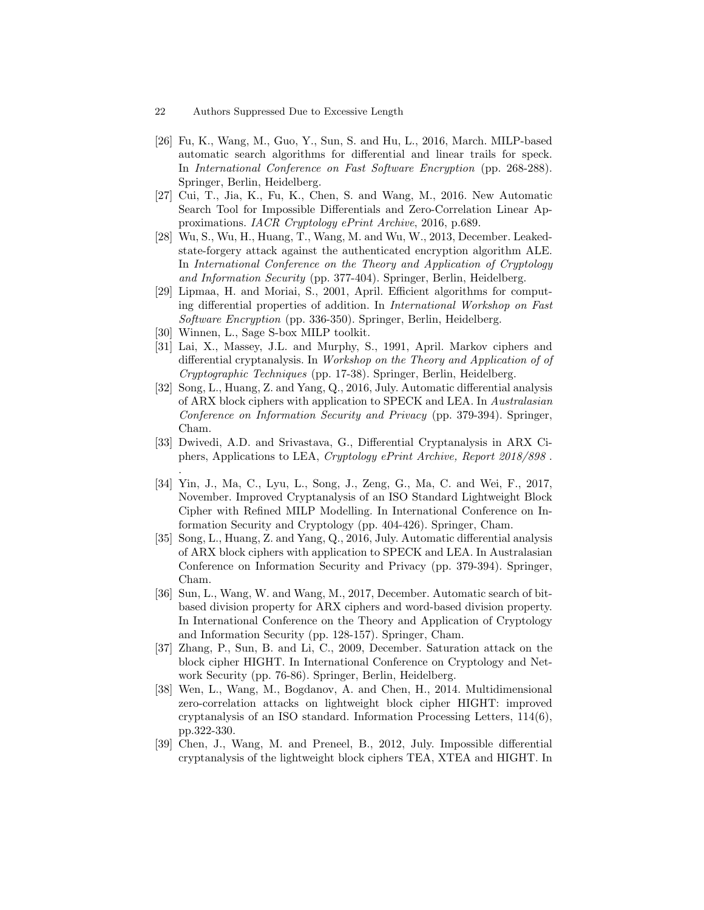- 22 Authors Suppressed Due to Excessive Length
- [26] Fu, K., Wang, M., Guo, Y., Sun, S. and Hu, L., 2016, March. MILP-based automatic search algorithms for differential and linear trails for speck. In International Conference on Fast Software Encryption (pp. 268-288). Springer, Berlin, Heidelberg.
- [27] Cui, T., Jia, K., Fu, K., Chen, S. and Wang, M., 2016. New Automatic Search Tool for Impossible Differentials and Zero-Correlation Linear Approximations. IACR Cryptology ePrint Archive, 2016, p.689.
- [28] Wu, S., Wu, H., Huang, T., Wang, M. and Wu, W., 2013, December. Leakedstate-forgery attack against the authenticated encryption algorithm ALE. In International Conference on the Theory and Application of Cryptology and Information Security (pp. 377-404). Springer, Berlin, Heidelberg.
- [29] Lipmaa, H. and Moriai, S., 2001, April. Efficient algorithms for computing differential properties of addition. In International Workshop on Fast Software Encryption (pp. 336-350). Springer, Berlin, Heidelberg.
- [30] Winnen, L., Sage S-box MILP toolkit.
- [31] Lai, X., Massey, J.L. and Murphy, S., 1991, April. Markov ciphers and differential cryptanalysis. In Workshop on the Theory and Application of of Cryptographic Techniques (pp. 17-38). Springer, Berlin, Heidelberg.
- [32] Song, L., Huang, Z. and Yang, Q., 2016, July. Automatic differential analysis of ARX block ciphers with application to SPECK and LEA. In Australasian Conference on Information Security and Privacy (pp. 379-394). Springer, Cham.
- [33] Dwivedi, A.D. and Srivastava, G., Differential Cryptanalysis in ARX Ciphers, Applications to LEA, Cryptology ePrint Archive, Report 2018/898 . .
- [34] Yin, J., Ma, C., Lyu, L., Song, J., Zeng, G., Ma, C. and Wei, F., 2017, November. Improved Cryptanalysis of an ISO Standard Lightweight Block Cipher with Refined MILP Modelling. In International Conference on Information Security and Cryptology (pp. 404-426). Springer, Cham.
- [35] Song, L., Huang, Z. and Yang, Q., 2016, July. Automatic differential analysis of ARX block ciphers with application to SPECK and LEA. In Australasian Conference on Information Security and Privacy (pp. 379-394). Springer, Cham.
- [36] Sun, L., Wang, W. and Wang, M., 2017, December. Automatic search of bitbased division property for ARX ciphers and word-based division property. In International Conference on the Theory and Application of Cryptology and Information Security (pp. 128-157). Springer, Cham.
- [37] Zhang, P., Sun, B. and Li, C., 2009, December. Saturation attack on the block cipher HIGHT. In International Conference on Cryptology and Network Security (pp. 76-86). Springer, Berlin, Heidelberg.
- [38] Wen, L., Wang, M., Bogdanov, A. and Chen, H., 2014. Multidimensional zero-correlation attacks on lightweight block cipher HIGHT: improved cryptanalysis of an ISO standard. Information Processing Letters,  $114(6)$ , pp.322-330.
- [39] Chen, J., Wang, M. and Preneel, B., 2012, July. Impossible differential cryptanalysis of the lightweight block ciphers TEA, XTEA and HIGHT. In